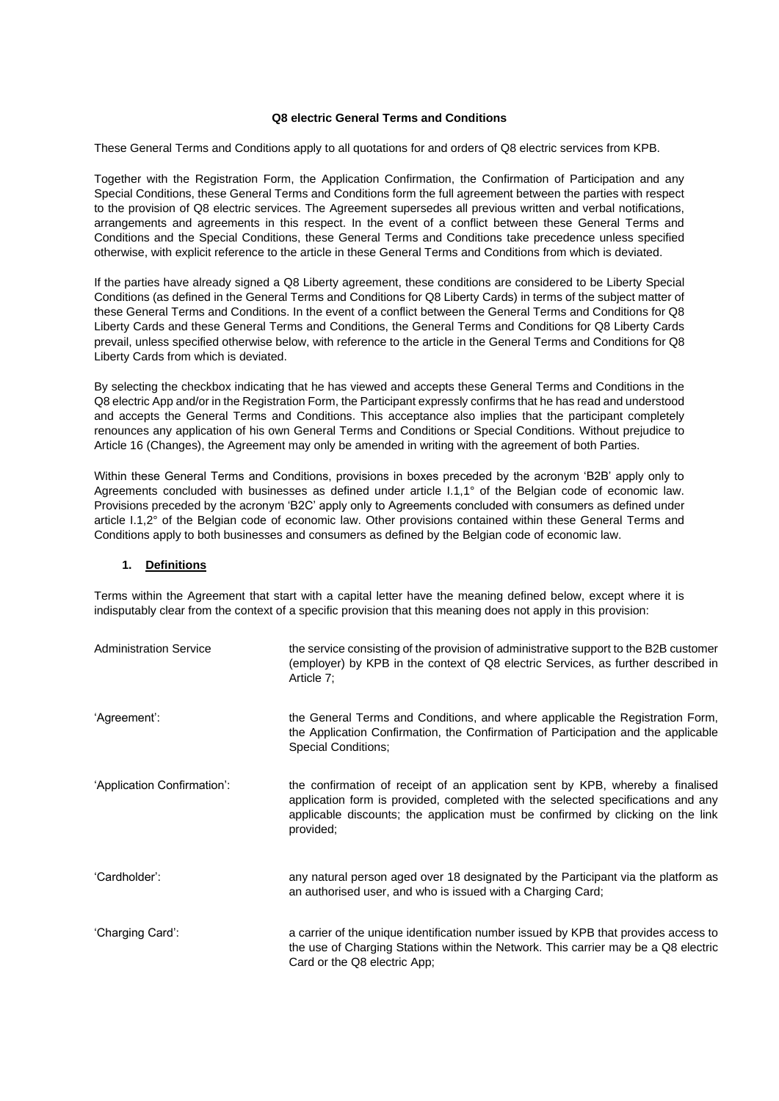### **Q8 electric General Terms and Conditions**

These General Terms and Conditions apply to all quotations for and orders of Q8 electric services from KPB.

Together with the Registration Form, the Application Confirmation, the Confirmation of Participation and any Special Conditions, these General Terms and Conditions form the full agreement between the parties with respect to the provision of Q8 electric services. The Agreement supersedes all previous written and verbal notifications, arrangements and agreements in this respect. In the event of a conflict between these General Terms and Conditions and the Special Conditions, these General Terms and Conditions take precedence unless specified otherwise, with explicit reference to the article in these General Terms and Conditions from which is deviated.

If the parties have already signed a Q8 Liberty agreement, these conditions are considered to be Liberty Special Conditions (as defined in the General Terms and Conditions for Q8 Liberty Cards) in terms of the subject matter of these General Terms and Conditions. In the event of a conflict between the General Terms and Conditions for Q8 Liberty Cards and these General Terms and Conditions, the General Terms and Conditions for Q8 Liberty Cards prevail, unless specified otherwise below, with reference to the article in the General Terms and Conditions for Q8 Liberty Cards from which is deviated.

By selecting the checkbox indicating that he has viewed and accepts these General Terms and Conditions in the Q8 electric App and/or in the Registration Form, the Participant expressly confirms that he has read and understood and accepts the General Terms and Conditions. This acceptance also implies that the participant completely renounces any application of his own General Terms and Conditions or Special Conditions. Without prejudice to Article 16 (Changes), the Agreement may only be amended in writing with the agreement of both Parties.

Within these General Terms and Conditions, provisions in boxes preceded by the acronym 'B2B' apply only to Agreements concluded with businesses as defined under article I.1,1° of the Belgian code of economic law. Provisions preceded by the acronym 'B2C' apply only to Agreements concluded with consumers as defined under article I.1,2° of the Belgian code of economic law. Other provisions contained within these General Terms and Conditions apply to both businesses and consumers as defined by the Belgian code of economic law.

### **1. Definitions**

Terms within the Agreement that start with a capital letter have the meaning defined below, except where it is indisputably clear from the context of a specific provision that this meaning does not apply in this provision:

| <b>Administration Service</b> | the service consisting of the provision of administrative support to the B2B customer<br>(employer) by KPB in the context of Q8 electric Services, as further described in<br>Article 7:                                                                           |
|-------------------------------|--------------------------------------------------------------------------------------------------------------------------------------------------------------------------------------------------------------------------------------------------------------------|
| 'Agreement':                  | the General Terms and Conditions, and where applicable the Registration Form,<br>the Application Confirmation, the Confirmation of Participation and the applicable<br><b>Special Conditions;</b>                                                                  |
| 'Application Confirmation':   | the confirmation of receipt of an application sent by KPB, whereby a finalised<br>application form is provided, completed with the selected specifications and any<br>applicable discounts; the application must be confirmed by clicking on the link<br>provided; |
| 'Cardholder':                 | any natural person aged over 18 designated by the Participant via the platform as<br>an authorised user, and who is issued with a Charging Card;                                                                                                                   |
| 'Charging Card':              | a carrier of the unique identification number issued by KPB that provides access to<br>the use of Charging Stations within the Network. This carrier may be a Q8 electric<br>Card or the Q8 electric App;                                                          |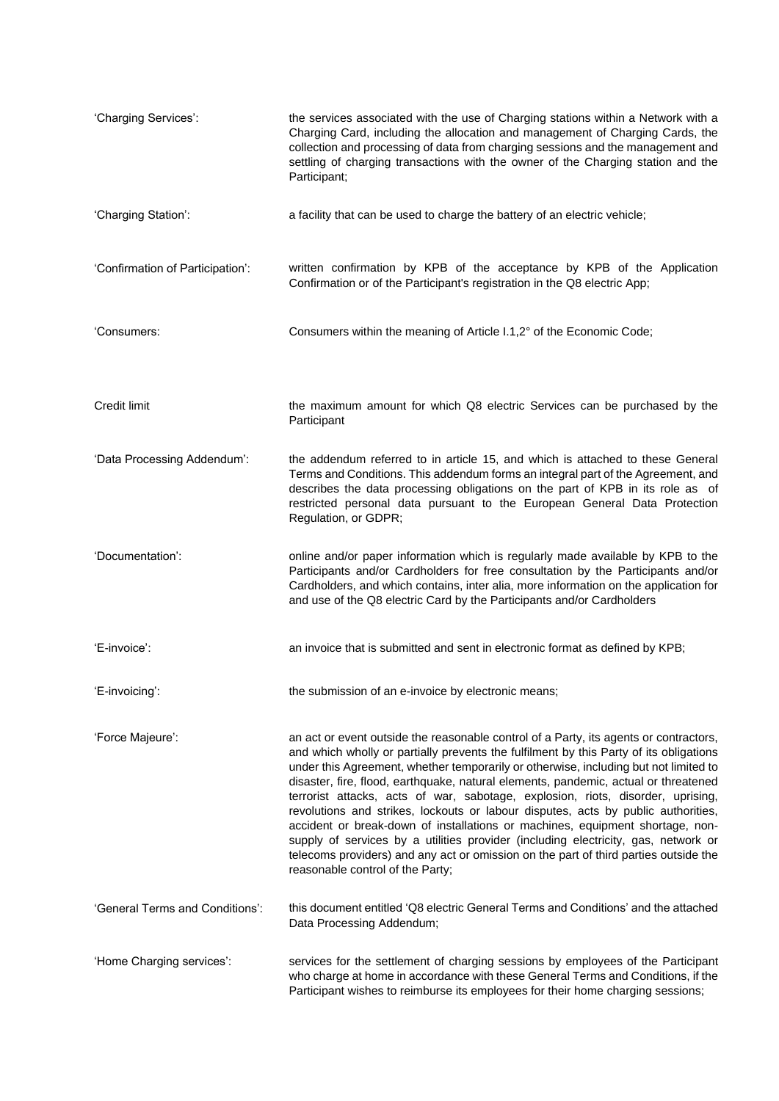| 'Charging Services':             | the services associated with the use of Charging stations within a Network with a<br>Charging Card, including the allocation and management of Charging Cards, the<br>collection and processing of data from charging sessions and the management and<br>settling of charging transactions with the owner of the Charging station and the<br>Participant;                                                                                                                                                                                                                                                                                                                                                                                                                                                                                 |
|----------------------------------|-------------------------------------------------------------------------------------------------------------------------------------------------------------------------------------------------------------------------------------------------------------------------------------------------------------------------------------------------------------------------------------------------------------------------------------------------------------------------------------------------------------------------------------------------------------------------------------------------------------------------------------------------------------------------------------------------------------------------------------------------------------------------------------------------------------------------------------------|
| 'Charging Station':              | a facility that can be used to charge the battery of an electric vehicle;                                                                                                                                                                                                                                                                                                                                                                                                                                                                                                                                                                                                                                                                                                                                                                 |
| 'Confirmation of Participation': | written confirmation by KPB of the acceptance by KPB of the Application<br>Confirmation or of the Participant's registration in the Q8 electric App;                                                                                                                                                                                                                                                                                                                                                                                                                                                                                                                                                                                                                                                                                      |
| 'Consumers:                      | Consumers within the meaning of Article I.1,2° of the Economic Code;                                                                                                                                                                                                                                                                                                                                                                                                                                                                                                                                                                                                                                                                                                                                                                      |
| Credit limit                     | the maximum amount for which Q8 electric Services can be purchased by the<br>Participant                                                                                                                                                                                                                                                                                                                                                                                                                                                                                                                                                                                                                                                                                                                                                  |
| 'Data Processing Addendum':      | the addendum referred to in article 15, and which is attached to these General<br>Terms and Conditions. This addendum forms an integral part of the Agreement, and<br>describes the data processing obligations on the part of KPB in its role as of<br>restricted personal data pursuant to the European General Data Protection<br>Regulation, or GDPR;                                                                                                                                                                                                                                                                                                                                                                                                                                                                                 |
| 'Documentation':                 | online and/or paper information which is regularly made available by KPB to the<br>Participants and/or Cardholders for free consultation by the Participants and/or<br>Cardholders, and which contains, inter alia, more information on the application for<br>and use of the Q8 electric Card by the Participants and/or Cardholders                                                                                                                                                                                                                                                                                                                                                                                                                                                                                                     |
| 'E-invoice':                     | an invoice that is submitted and sent in electronic format as defined by KPB;                                                                                                                                                                                                                                                                                                                                                                                                                                                                                                                                                                                                                                                                                                                                                             |
| 'E-invoicing':                   | the submission of an e-invoice by electronic means;                                                                                                                                                                                                                                                                                                                                                                                                                                                                                                                                                                                                                                                                                                                                                                                       |
| 'Force Majeure':                 | an act or event outside the reasonable control of a Party, its agents or contractors,<br>and which wholly or partially prevents the fulfilment by this Party of its obligations<br>under this Agreement, whether temporarily or otherwise, including but not limited to<br>disaster, fire, flood, earthquake, natural elements, pandemic, actual or threatened<br>terrorist attacks, acts of war, sabotage, explosion, riots, disorder, uprising,<br>revolutions and strikes, lockouts or labour disputes, acts by public authorities,<br>accident or break-down of installations or machines, equipment shortage, non-<br>supply of services by a utilities provider (including electricity, gas, network or<br>telecoms providers) and any act or omission on the part of third parties outside the<br>reasonable control of the Party; |
| 'General Terms and Conditions':  | this document entitled 'Q8 electric General Terms and Conditions' and the attached<br>Data Processing Addendum;                                                                                                                                                                                                                                                                                                                                                                                                                                                                                                                                                                                                                                                                                                                           |
| 'Home Charging services':        | services for the settlement of charging sessions by employees of the Participant<br>who charge at home in accordance with these General Terms and Conditions, if the<br>Participant wishes to reimburse its employees for their home charging sessions;                                                                                                                                                                                                                                                                                                                                                                                                                                                                                                                                                                                   |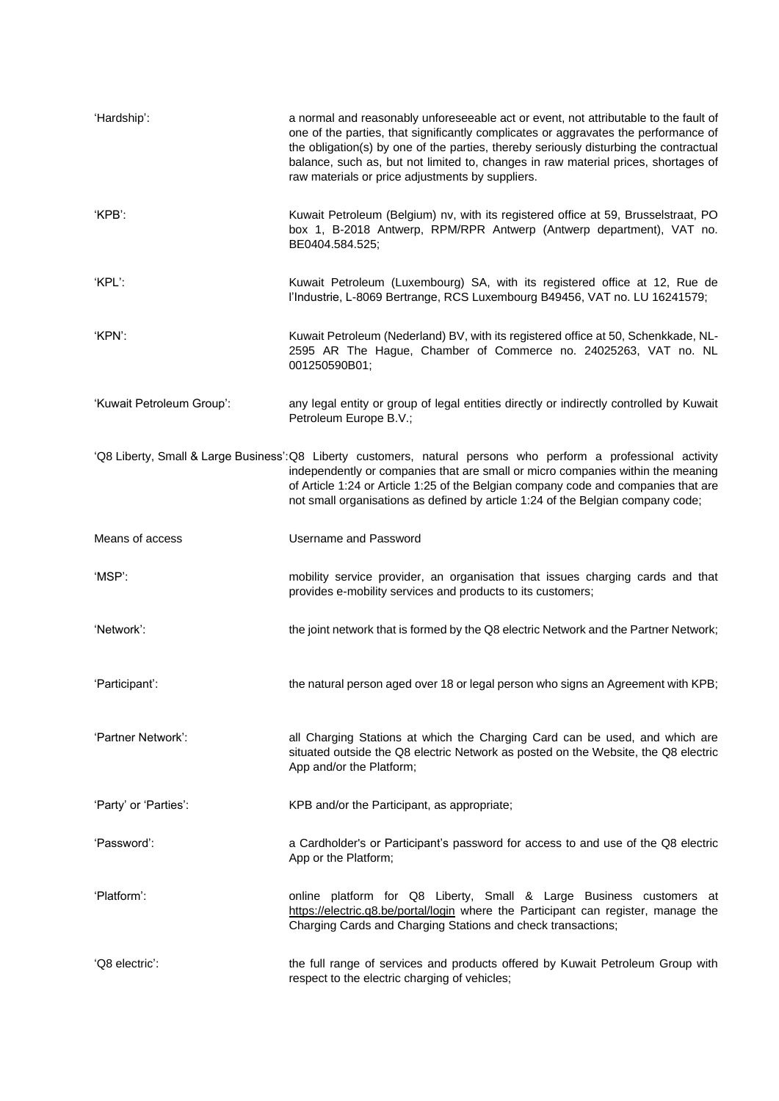| 'Hardship':               | a normal and reasonably unforeseeable act or event, not attributable to the fault of<br>one of the parties, that significantly complicates or aggravates the performance of<br>the obligation(s) by one of the parties, thereby seriously disturbing the contractual<br>balance, such as, but not limited to, changes in raw material prices, shortages of<br>raw materials or price adjustments by suppliers. |
|---------------------------|----------------------------------------------------------------------------------------------------------------------------------------------------------------------------------------------------------------------------------------------------------------------------------------------------------------------------------------------------------------------------------------------------------------|
| 'KPB':                    | Kuwait Petroleum (Belgium) nv, with its registered office at 59, Brusselstraat, PO<br>box 1, B-2018 Antwerp, RPM/RPR Antwerp (Antwerp department), VAT no.<br>BE0404.584.525;                                                                                                                                                                                                                                  |
| 'KPL':                    | Kuwait Petroleum (Luxembourg) SA, with its registered office at 12, Rue de<br>l'Industrie, L-8069 Bertrange, RCS Luxembourg B49456, VAT no. LU 16241579;                                                                                                                                                                                                                                                       |
| 'KPN':                    | Kuwait Petroleum (Nederland) BV, with its registered office at 50, Schenkkade, NL-<br>2595 AR The Hague, Chamber of Commerce no. 24025263, VAT no. NL<br>001250590B01;                                                                                                                                                                                                                                         |
| 'Kuwait Petroleum Group': | any legal entity or group of legal entities directly or indirectly controlled by Kuwait<br>Petroleum Europe B.V.;                                                                                                                                                                                                                                                                                              |
|                           | 'Q8 Liberty, Small & Large Business':Q8 Liberty customers, natural persons who perform a professional activity<br>independently or companies that are small or micro companies within the meaning<br>of Article 1:24 or Article 1:25 of the Belgian company code and companies that are<br>not small organisations as defined by article 1:24 of the Belgian company code;                                     |
| Means of access           | <b>Username and Password</b>                                                                                                                                                                                                                                                                                                                                                                                   |
| 'MSP':                    | mobility service provider, an organisation that issues charging cards and that<br>provides e-mobility services and products to its customers;                                                                                                                                                                                                                                                                  |
| 'Network':                | the joint network that is formed by the Q8 electric Network and the Partner Network;                                                                                                                                                                                                                                                                                                                           |
| 'Participant':            | the natural person aged over 18 or legal person who signs an Agreement with KPB;                                                                                                                                                                                                                                                                                                                               |
| 'Partner Network':        | all Charging Stations at which the Charging Card can be used, and which are<br>situated outside the Q8 electric Network as posted on the Website, the Q8 electric<br>App and/or the Platform;                                                                                                                                                                                                                  |
| 'Party' or 'Parties':     | KPB and/or the Participant, as appropriate;                                                                                                                                                                                                                                                                                                                                                                    |
| 'Password':               | a Cardholder's or Participant's password for access to and use of the Q8 electric<br>App or the Platform;                                                                                                                                                                                                                                                                                                      |
| 'Platform':               | online platform for Q8 Liberty, Small & Large Business customers at<br>https://electric.q8.be/portal/login where the Participant can register, manage the<br>Charging Cards and Charging Stations and check transactions;                                                                                                                                                                                      |
| 'Q8 electric':            | the full range of services and products offered by Kuwait Petroleum Group with<br>respect to the electric charging of vehicles;                                                                                                                                                                                                                                                                                |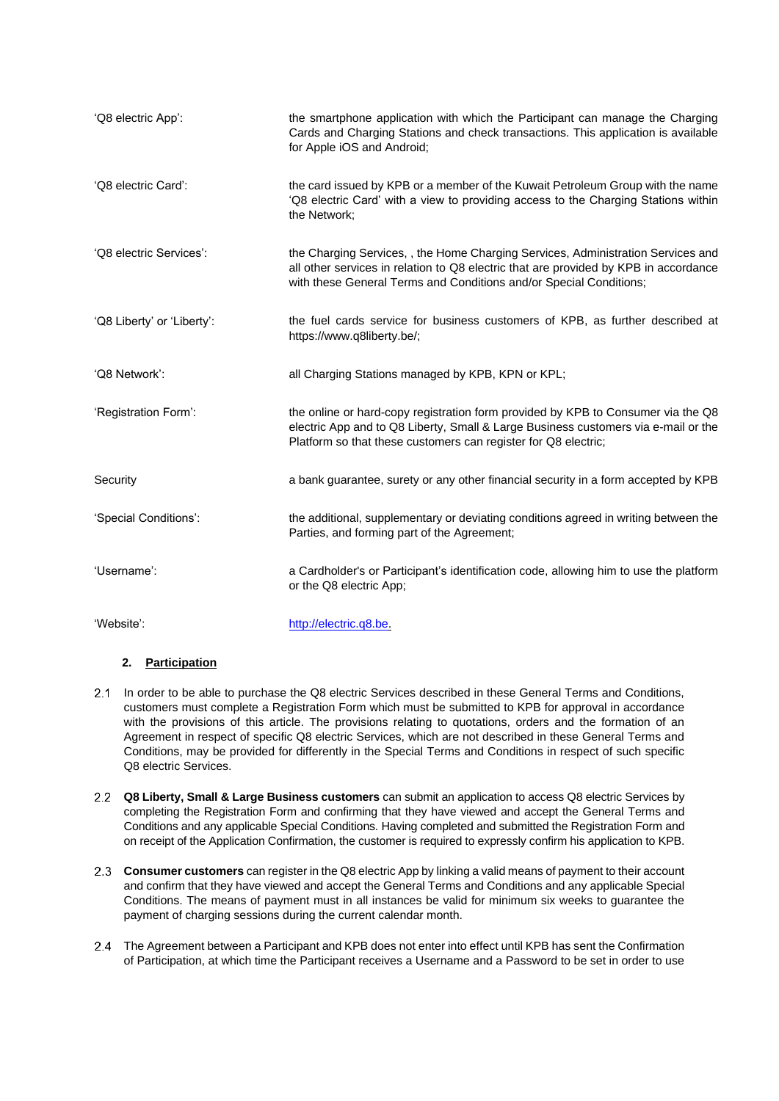| 'Q8 electric App':         | the smartphone application with which the Participant can manage the Charging<br>Cards and Charging Stations and check transactions. This application is available<br>for Apple iOS and Android;                                              |
|----------------------------|-----------------------------------------------------------------------------------------------------------------------------------------------------------------------------------------------------------------------------------------------|
| 'Q8 electric Card':        | the card issued by KPB or a member of the Kuwait Petroleum Group with the name<br>'Q8 electric Card' with a view to providing access to the Charging Stations within<br>the Network;                                                          |
| 'Q8 electric Services':    | the Charging Services,, the Home Charging Services, Administration Services and<br>all other services in relation to Q8 electric that are provided by KPB in accordance<br>with these General Terms and Conditions and/or Special Conditions; |
| 'Q8 Liberty' or 'Liberty': | the fuel cards service for business customers of KPB, as further described at<br>https://www.q8liberty.be/;                                                                                                                                   |
| 'Q8 Network':              | all Charging Stations managed by KPB, KPN or KPL;                                                                                                                                                                                             |
| 'Registration Form':       | the online or hard-copy registration form provided by KPB to Consumer via the Q8<br>electric App and to Q8 Liberty, Small & Large Business customers via e-mail or the<br>Platform so that these customers can register for Q8 electric;      |
| Security                   | a bank guarantee, surety or any other financial security in a form accepted by KPB                                                                                                                                                            |
| 'Special Conditions':      | the additional, supplementary or deviating conditions agreed in writing between the<br>Parties, and forming part of the Agreement;                                                                                                            |
| 'Username':                | a Cardholder's or Participant's identification code, allowing him to use the platform<br>or the Q8 electric App;                                                                                                                              |
| 'Website':                 | http://electric.q8.be.                                                                                                                                                                                                                        |

# **2. Participation**

- 2.1 In order to be able to purchase the Q8 electric Services described in these General Terms and Conditions, customers must complete a Registration Form which must be submitted to KPB for approval in accordance with the provisions of this article. The provisions relating to quotations, orders and the formation of an Agreement in respect of specific Q8 electric Services, which are not described in these General Terms and Conditions, may be provided for differently in the Special Terms and Conditions in respect of such specific Q8 electric Services.
- **Q8 Liberty, Small & Large Business customers** can submit an application to access Q8 electric Services by completing the Registration Form and confirming that they have viewed and accept the General Terms and Conditions and any applicable Special Conditions. Having completed and submitted the Registration Form and on receipt of the Application Confirmation, the customer is required to expressly confirm his application to KPB.
- **Consumer customers** can register in the Q8 electric App by linking a valid means of payment to their account and confirm that they have viewed and accept the General Terms and Conditions and any applicable Special Conditions. The means of payment must in all instances be valid for minimum six weeks to guarantee the payment of charging sessions during the current calendar month.
- 2.4 The Agreement between a Participant and KPB does not enter into effect until KPB has sent the Confirmation of Participation, at which time the Participant receives a Username and a Password to be set in order to use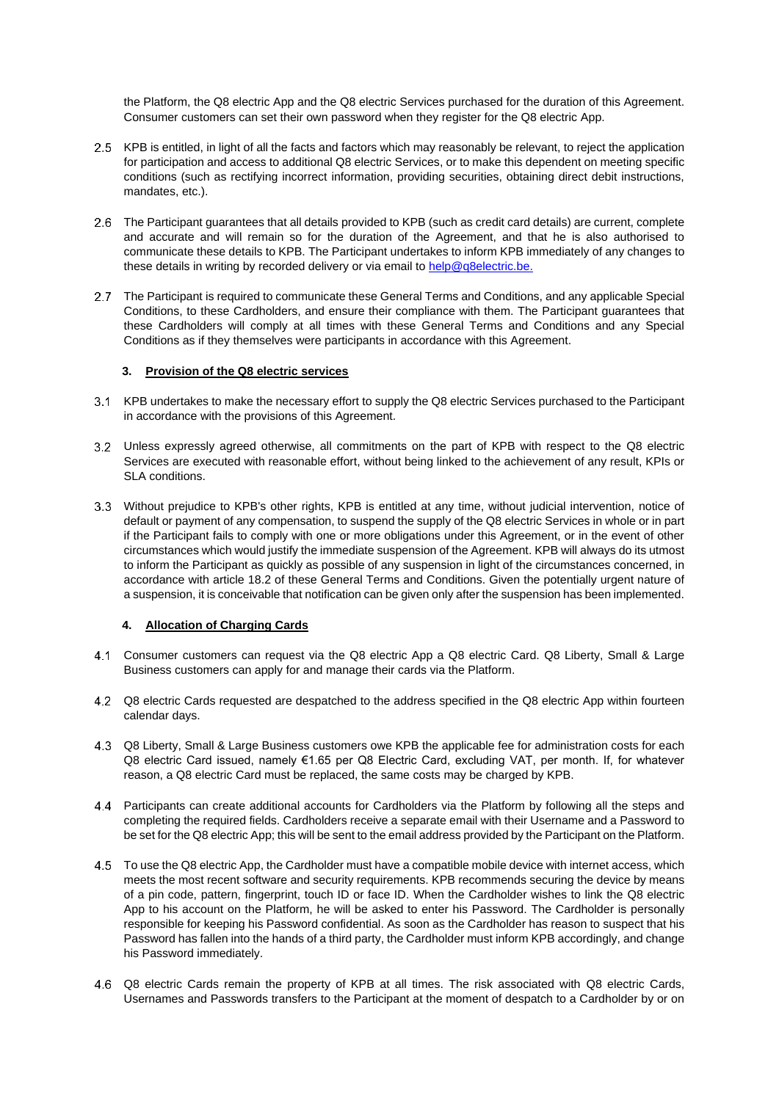the Platform, the Q8 electric App and the Q8 electric Services purchased for the duration of this Agreement. Consumer customers can set their own password when they register for the Q8 electric App.

- 2.5 KPB is entitled, in light of all the facts and factors which may reasonably be relevant, to reject the application for participation and access to additional Q8 electric Services, or to make this dependent on meeting specific conditions (such as rectifying incorrect information, providing securities, obtaining direct debit instructions, mandates, etc.).
- 2.6 The Participant guarantees that all details provided to KPB (such as credit card details) are current, complete and accurate and will remain so for the duration of the Agreement, and that he is also authorised to communicate these details to KPB. The Participant undertakes to inform KPB immediately of any changes to these details in writing by recorded delivery or via email to [help@q8electric.be.](mailto:help@q8electric.be)
- 2.7 The Participant is required to communicate these General Terms and Conditions, and any applicable Special Conditions, to these Cardholders, and ensure their compliance with them. The Participant guarantees that these Cardholders will comply at all times with these General Terms and Conditions and any Special Conditions as if they themselves were participants in accordance with this Agreement.

## **3. Provision of the Q8 electric services**

- 3.1 KPB undertakes to make the necessary effort to supply the Q8 electric Services purchased to the Participant in accordance with the provisions of this Agreement.
- Unless expressly agreed otherwise, all commitments on the part of KPB with respect to the Q8 electric Services are executed with reasonable effort, without being linked to the achievement of any result, KPIs or SLA conditions.
- Without prejudice to KPB's other rights, KPB is entitled at any time, without judicial intervention, notice of default or payment of any compensation, to suspend the supply of the Q8 electric Services in whole or in part if the Participant fails to comply with one or more obligations under this Agreement, or in the event of other circumstances which would justify the immediate suspension of the Agreement. KPB will always do its utmost to inform the Participant as quickly as possible of any suspension in light of the circumstances concerned, in accordance with article [18.2](#page-12-1) of these General Terms and Conditions. Given the potentially urgent nature of a suspension, it is conceivable that notification can be given only after the suspension has been implemented.

## **4. Allocation of Charging Cards**

- Consumer customers can request via the Q8 electric App a Q8 electric Card. Q8 Liberty, Small & Large Business customers can apply for and manage their cards via the Platform.
- 4.2 Q8 electric Cards requested are despatched to the address specified in the Q8 electric App within fourteen calendar days.
- Q8 Liberty, Small & Large Business customers owe KPB the applicable fee for administration costs for each Q8 electric Card issued, namely €1.65 per Q8 Electric Card, excluding VAT, per month. If, for whatever reason, a Q8 electric Card must be replaced, the same costs may be charged by KPB.
- Participants can create additional accounts for Cardholders via the Platform by following all the steps and completing the required fields. Cardholders receive a separate email with their Username and a Password to be set for the Q8 electric App; this will be sent to the email address provided by the Participant on the Platform.
- To use the Q8 electric App, the Cardholder must have a compatible mobile device with internet access, which meets the most recent software and security requirements. KPB recommends securing the device by means of a pin code, pattern, fingerprint, touch ID or face ID. When the Cardholder wishes to link the Q8 electric App to his account on the Platform, he will be asked to enter his Password. The Cardholder is personally responsible for keeping his Password confidential. As soon as the Cardholder has reason to suspect that his Password has fallen into the hands of a third party, the Cardholder must inform KPB accordingly, and change his Password immediately.
- Q8 electric Cards remain the property of KPB at all times. The risk associated with Q8 electric Cards, Usernames and Passwords transfers to the Participant at the moment of despatch to a Cardholder by or on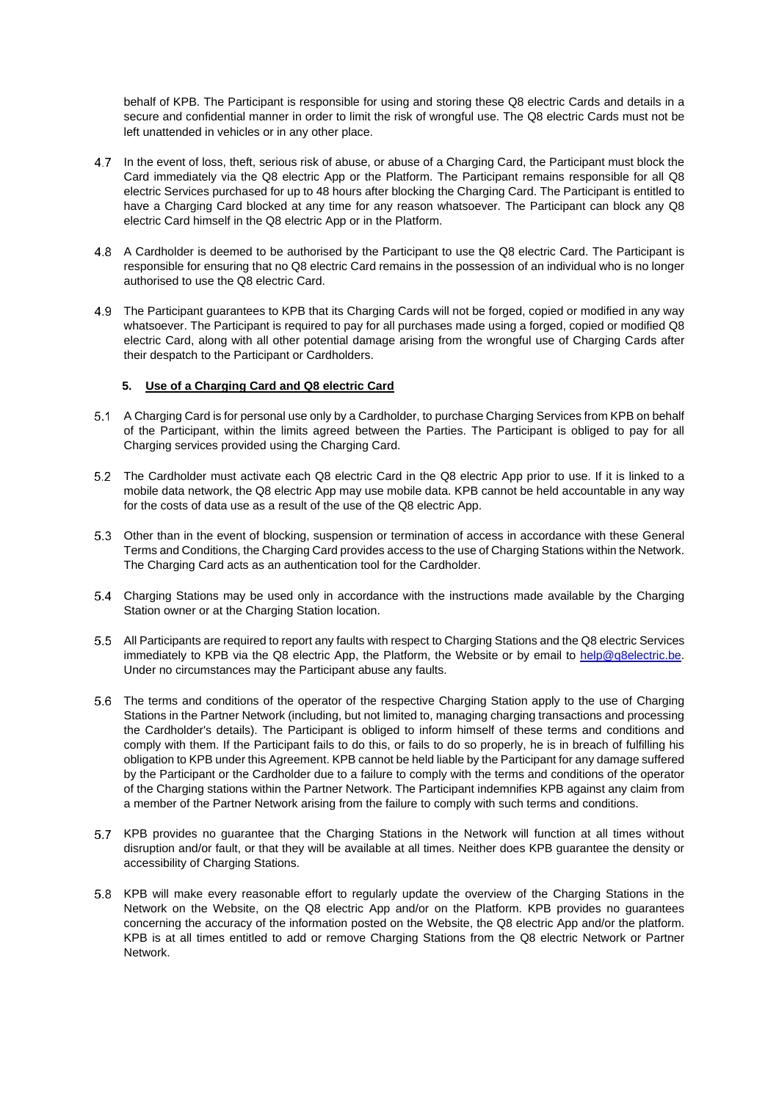behalf of KPB. The Participant is responsible for using and storing these Q8 electric Cards and details in a secure and confidential manner in order to limit the risk of wrongful use. The Q8 electric Cards must not be left unattended in vehicles or in any other place.

- 4.7 In the event of loss, theft, serious risk of abuse, or abuse of a Charging Card, the Participant must block the Card immediately via the Q8 electric App or the Platform. The Participant remains responsible for all Q8 electric Services purchased for up to 48 hours after blocking the Charging Card. The Participant is entitled to have a Charging Card blocked at any time for any reason whatsoever. The Participant can block any Q8 electric Card himself in the Q8 electric App or in the Platform.
- A Cardholder is deemed to be authorised by the Participant to use the Q8 electric Card. The Participant is responsible for ensuring that no Q8 electric Card remains in the possession of an individual who is no longer authorised to use the Q8 electric Card.
- The Participant guarantees to KPB that its Charging Cards will not be forged, copied or modified in any way whatsoever. The Participant is required to pay for all purchases made using a forged, copied or modified Q8 electric Card, along with all other potential damage arising from the wrongful use of Charging Cards after their despatch to the Participant or Cardholders.

## **5. Use of a Charging Card and Q8 electric Card**

- 5.1 A Charging Card is for personal use only by a Cardholder, to purchase Charging Services from KPB on behalf of the Participant, within the limits agreed between the Parties. The Participant is obliged to pay for all Charging services provided using the Charging Card.
- 5.2 The Cardholder must activate each Q8 electric Card in the Q8 electric App prior to use. If it is linked to a mobile data network, the Q8 electric App may use mobile data. KPB cannot be held accountable in any way for the costs of data use as a result of the use of the Q8 electric App.
- 5.3 Other than in the event of blocking, suspension or termination of access in accordance with these General Terms and Conditions, the Charging Card provides access to the use of Charging Stations within the Network. The Charging Card acts as an authentication tool for the Cardholder.
- Charging Stations may be used only in accordance with the instructions made available by the Charging Station owner or at the Charging Station location.
- All Participants are required to report any faults with respect to Charging Stations and the Q8 electric Services immediately to KPB via the Q8 electric App, the Platform, the Website or by email to [help@q8electric.be.](mailto:help@q8electric.be) Under no circumstances may the Participant abuse any faults.
- The terms and conditions of the operator of the respective Charging Station apply to the use of Charging Stations in the Partner Network (including, but not limited to, managing charging transactions and processing the Cardholder's details). The Participant is obliged to inform himself of these terms and conditions and comply with them. If the Participant fails to do this, or fails to do so properly, he is in breach of fulfilling his obligation to KPB under this Agreement. KPB cannot be held liable by the Participant for any damage suffered by the Participant or the Cardholder due to a failure to comply with the terms and conditions of the operator of the Charging stations within the Partner Network. The Participant indemnifies KPB against any claim from a member of the Partner Network arising from the failure to comply with such terms and conditions.
- 5.7 KPB provides no guarantee that the Charging Stations in the Network will function at all times without disruption and/or fault, or that they will be available at all times. Neither does KPB guarantee the density or accessibility of Charging Stations.
- 5.8 KPB will make every reasonable effort to regularly update the overview of the Charging Stations in the Network on the Website, on the Q8 electric App and/or on the Platform. KPB provides no guarantees concerning the accuracy of the information posted on the Website, the Q8 electric App and/or the platform. KPB is at all times entitled to add or remove Charging Stations from the Q8 electric Network or Partner Network.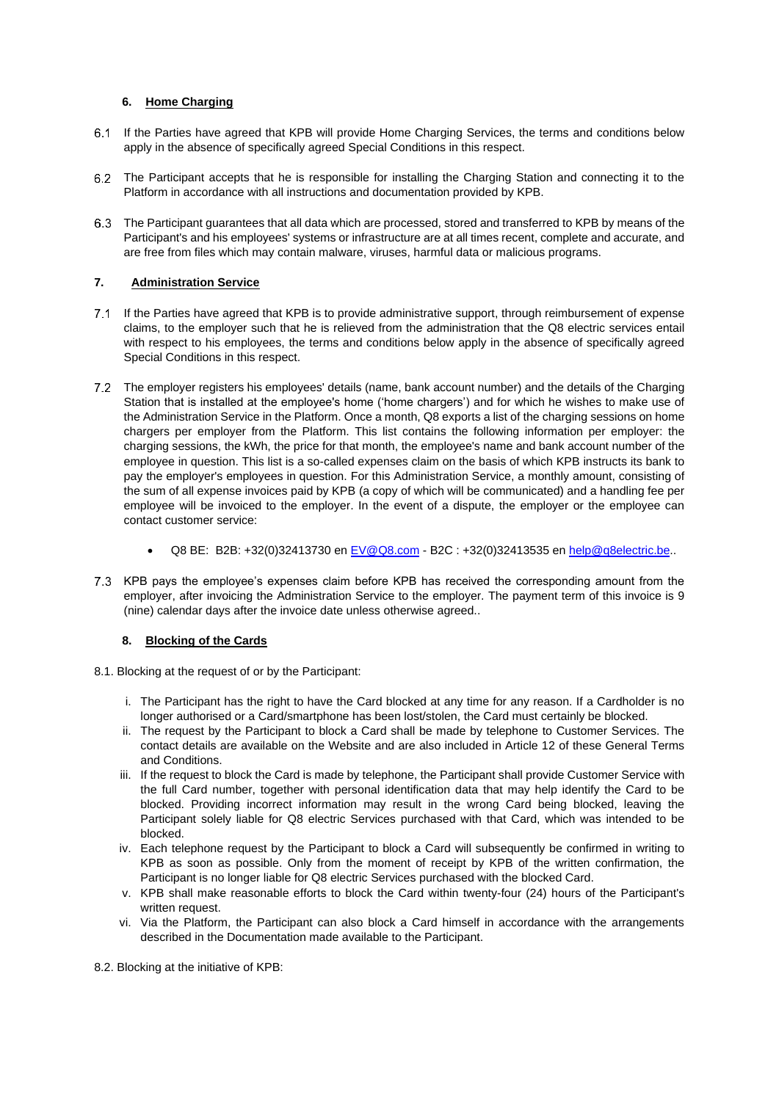## **6. Home Charging**

- If the Parties have agreed that KPB will provide Home Charging Services, the terms and conditions below apply in the absence of specifically agreed Special Conditions in this respect.
- 6.2 The Participant accepts that he is responsible for installing the Charging Station and connecting it to the Platform in accordance with all instructions and documentation provided by KPB.
- The Participant guarantees that all data which are processed, stored and transferred to KPB by means of the Participant's and his employees' systems or infrastructure are at all times recent, complete and accurate, and are free from files which may contain malware, viruses, harmful data or malicious programs.

## **7. Administration Service**

- 7.1 If the Parties have agreed that KPB is to provide administrative support, through reimbursement of expense claims, to the employer such that he is relieved from the administration that the Q8 electric services entail with respect to his employees, the terms and conditions below apply in the absence of specifically agreed Special Conditions in this respect.
- The employer registers his employees' details (name, bank account number) and the details of the Charging Station that is installed at the employee's home ('home chargers') and for which he wishes to make use of the Administration Service in the Platform. Once a month, Q8 exports a list of the charging sessions on home chargers per employer from the Platform. This list contains the following information per employer: the charging sessions, the kWh, the price for that month, the employee's name and bank account number of the employee in question. This list is a so-called expenses claim on the basis of which KPB instructs its bank to pay the employer's employees in question. For this Administration Service, a monthly amount, consisting of the sum of all expense invoices paid by KPB (a copy of which will be communicated) and a handling fee per employee will be invoiced to the employer. In the event of a dispute, the employer or the employee can contact customer service:
	- Q8 BE: B2B: +32(0)32413730 en [EV@Q8.com](mailto:cardsupport@Q8.be) B2C : +32(0)32413535 en [help@q8electric.be.](mailto:help@q8electric.be).
- 7.3 KPB pays the employee's expenses claim before KPB has received the corresponding amount from the employer, after invoicing the Administration Service to the employer. The payment term of this invoice is 9 (nine) calendar days after the invoice date unless otherwise agreed..

## **8. Blocking of the Cards**

- 8.1. Blocking at the request of or by the Participant:
	- i. The Participant has the right to have the Card blocked at any time for any reason. If a Cardholder is no longer authorised or a Card/smartphone has been lost/stolen, the Card must certainly be blocked.
	- ii. The request by the Participant to block a Card shall be made by telephone to Customer Services. The contact details are available on the Website and are also included in Article 12 of these General Terms and Conditions.
	- iii. If the request to block the Card is made by telephone, the Participant shall provide Customer Service with the full Card number, together with personal identification data that may help identify the Card to be blocked. Providing incorrect information may result in the wrong Card being blocked, leaving the Participant solely liable for Q8 electric Services purchased with that Card, which was intended to be blocked.
	- iv. Each telephone request by the Participant to block a Card will subsequently be confirmed in writing to KPB as soon as possible. Only from the moment of receipt by KPB of the written confirmation, the Participant is no longer liable for Q8 electric Services purchased with the blocked Card.
	- v. KPB shall make reasonable efforts to block the Card within twenty-four (24) hours of the Participant's written request.
	- vi. Via the Platform, the Participant can also block a Card himself in accordance with the arrangements described in the Documentation made available to the Participant.

8.2. Blocking at the initiative of KPB: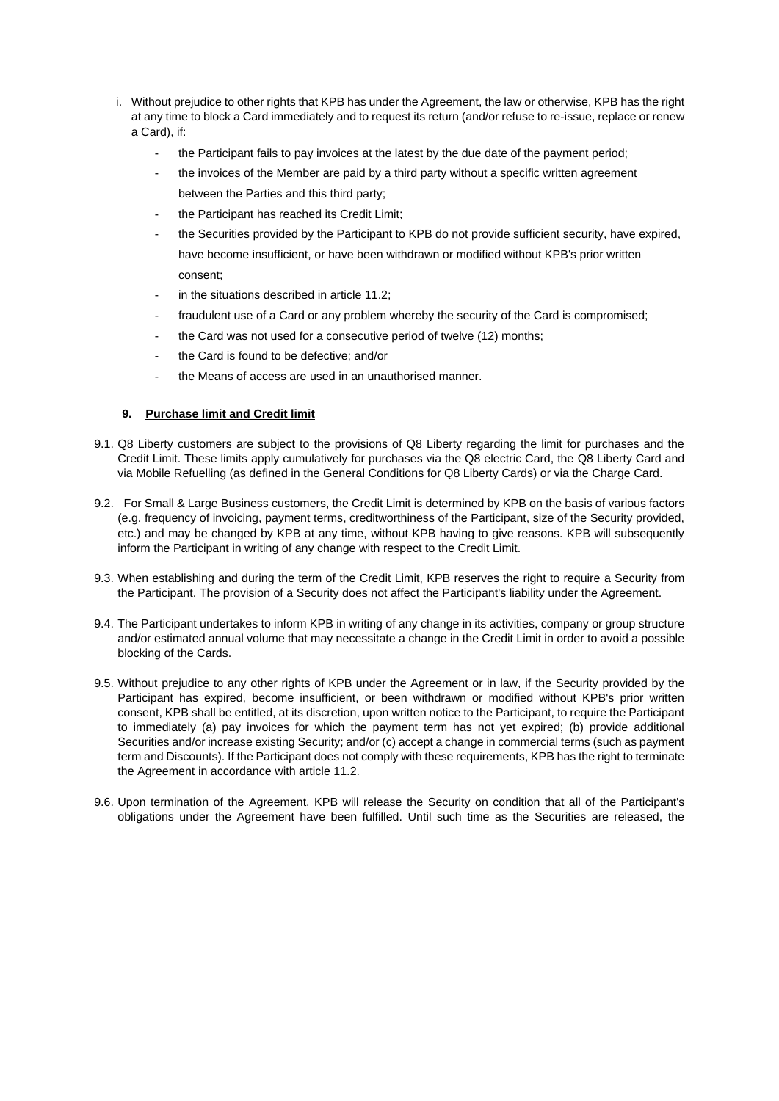- i. Without prejudice to other rights that KPB has under the Agreement, the law or otherwise, KPB has the right at any time to block a Card immediately and to request its return (and/or refuse to re-issue, replace or renew a Card), if:
	- the Participant fails to pay invoices at the latest by the due date of the payment period:
	- the invoices of the Member are paid by a third party without a specific written agreement between the Parties and this third party;
	- the Participant has reached its Credit Limit;
	- the Securities provided by the Participant to KPB do not provide sufficient security, have expired, have become insufficient, or have been withdrawn or modified without KPB's prior written consent;
	- in the situations described in article 11.2:
	- fraudulent use of a Card or any problem whereby the security of the Card is compromised;
	- the Card was not used for a consecutive period of twelve (12) months;
	- the Card is found to be defective; and/or
	- the Means of access are used in an unauthorised manner.

## **9. Purchase limit and Credit limit**

- 9.1. Q8 Liberty customers are subject to the provisions of Q8 Liberty regarding the limit for purchases and the Credit Limit. These limits apply cumulatively for purchases via the Q8 electric Card, the Q8 Liberty Card and via Mobile Refuelling (as defined in the General Conditions for Q8 Liberty Cards) or via the Charge Card.
- 9.2. For Small & Large Business customers, the Credit Limit is determined by KPB on the basis of various factors (e.g. frequency of invoicing, payment terms, creditworthiness of the Participant, size of the Security provided, etc.) and may be changed by KPB at any time, without KPB having to give reasons. KPB will subsequently inform the Participant in writing of any change with respect to the Credit Limit.
- 9.3. When establishing and during the term of the Credit Limit, KPB reserves the right to require a Security from the Participant. The provision of a Security does not affect the Participant's liability under the Agreement.
- 9.4. The Participant undertakes to inform KPB in writing of any change in its activities, company or group structure and/or estimated annual volume that may necessitate a change in the Credit Limit in order to avoid a possible blocking of the Cards.
- 9.5. Without prejudice to any other rights of KPB under the Agreement or in law, if the Security provided by the Participant has expired, become insufficient, or been withdrawn or modified without KPB's prior written consent, KPB shall be entitled, at its discretion, upon written notice to the Participant, to require the Participant to immediately (a) pay invoices for which the payment term has not yet expired; (b) provide additional Securities and/or increase existing Security; and/or (c) accept a change in commercial terms (such as payment term and Discounts). If the Participant does not comply with these requirements, KPB has the right to terminate the Agreement in accordance with article 11.2.
- 9.6. Upon termination of the Agreement, KPB will release the Security on condition that all of the Participant's obligations under the Agreement have been fulfilled. Until such time as the Securities are released, the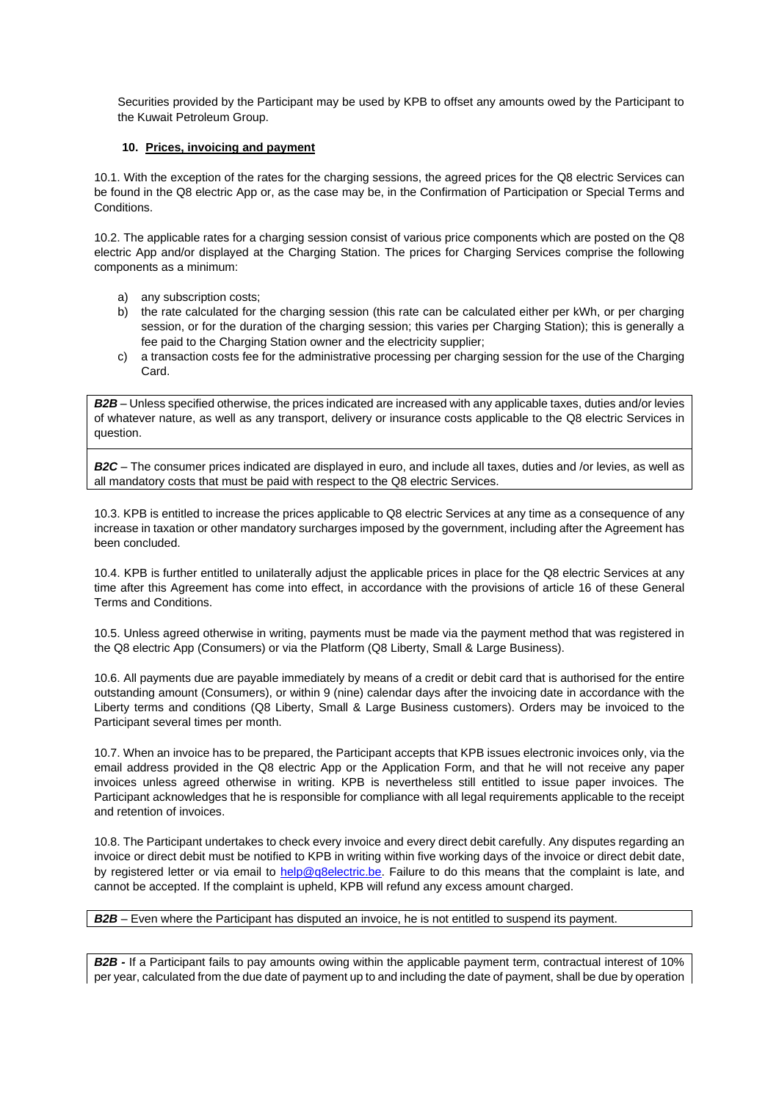Securities provided by the Participant may be used by KPB to offset any amounts owed by the Participant to the Kuwait Petroleum Group.

### **10. Prices, invoicing and payment**

10.1. With the exception of the rates for the charging sessions, the agreed prices for the Q8 electric Services can be found in the Q8 electric App or, as the case may be, in the Confirmation of Participation or Special Terms and Conditions.

10.2. The applicable rates for a charging session consist of various price components which are posted on the Q8 electric App and/or displayed at the Charging Station. The prices for Charging Services comprise the following components as a minimum:

- a) any subscription costs;
- b) the rate calculated for the charging session (this rate can be calculated either per kWh, or per charging session, or for the duration of the charging session; this varies per Charging Station); this is generally a fee paid to the Charging Station owner and the electricity supplier;
- c) a transaction costs fee for the administrative processing per charging session for the use of the Charging Card.

*B2B* – Unless specified otherwise, the prices indicated are increased with any applicable taxes, duties and/or levies of whatever nature, as well as any transport, delivery or insurance costs applicable to the Q8 electric Services in question.

*B2C* – The consumer prices indicated are displayed in euro, and include all taxes, duties and /or levies, as well as all mandatory costs that must be paid with respect to the Q8 electric Services.

10.3. KPB is entitled to increase the prices applicable to Q8 electric Services at any time as a consequence of any increase in taxation or other mandatory surcharges imposed by the government, including after the Agreement has been concluded.

10.4. KPB is further entitled to unilaterally adjust the applicable prices in place for the Q8 electric Services at any time after this Agreement has come into effect, in accordance with the provisions of article [16](#page-12-2) of these General Terms and Conditions.

10.5. Unless agreed otherwise in writing, payments must be made via the payment method that was registered in the Q8 electric App (Consumers) or via the Platform (Q8 Liberty, Small & Large Business).

10.6. All payments due are payable immediately by means of a credit or debit card that is authorised for the entire outstanding amount (Consumers), or within 9 (nine) calendar days after the invoicing date in accordance with the Liberty terms and conditions (Q8 Liberty, Small & Large Business customers). Orders may be invoiced to the Participant several times per month.

10.7. When an invoice has to be prepared, the Participant accepts that KPB issues electronic invoices only, via the email address provided in the Q8 electric App or the Application Form, and that he will not receive any paper invoices unless agreed otherwise in writing. KPB is nevertheless still entitled to issue paper invoices. The Participant acknowledges that he is responsible for compliance with all legal requirements applicable to the receipt and retention of invoices.

10.8. The Participant undertakes to check every invoice and every direct debit carefully. Any disputes regarding an invoice or direct debit must be notified to KPB in writing within five working days of the invoice or direct debit date, by registered letter or via email to [help@q8electric.be.](mailto:help@q8electric.be) Failure to do this means that the complaint is late, and cannot be accepted. If the complaint is upheld, KPB will refund any excess amount charged.

## *B2B* – Even where the Participant has disputed an invoice, he is not entitled to suspend its payment.

*B2B -* If a Participant fails to pay amounts owing within the applicable payment term, contractual interest of 10% per year, calculated from the due date of payment up to and including the date of payment, shall be due by operation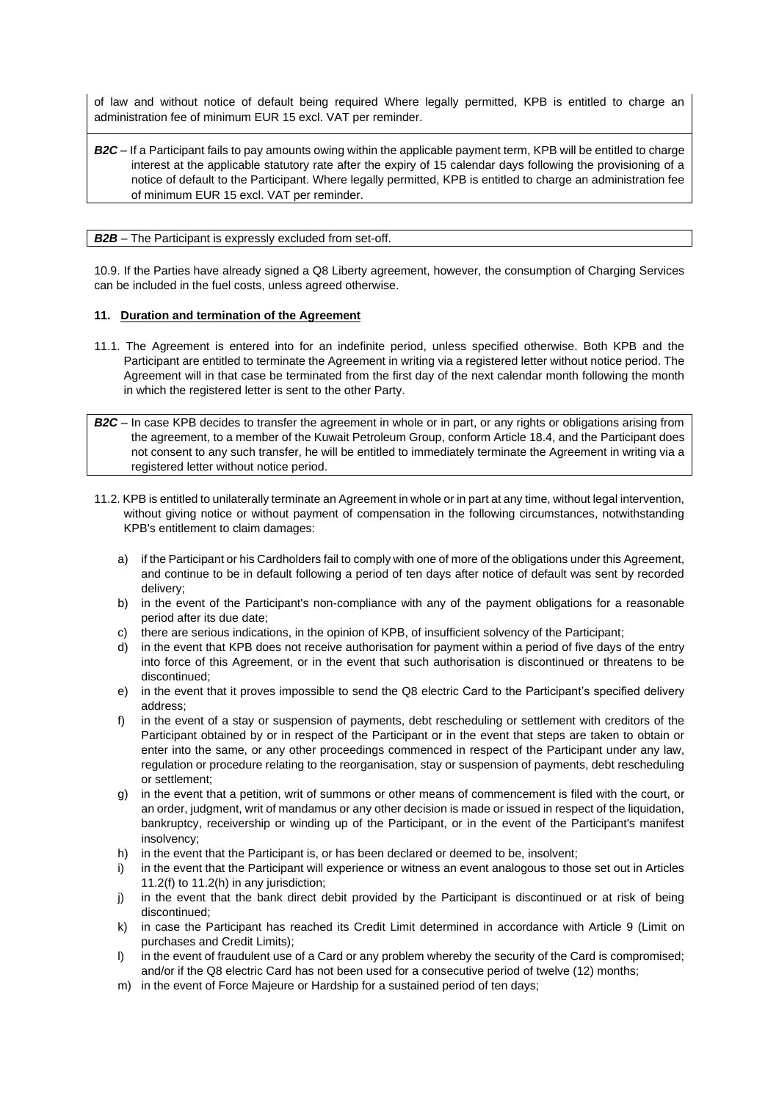of law and without notice of default being required Where legally permitted, KPB is entitled to charge an administration fee of minimum EUR 15 excl. VAT per reminder.

*B2C* – If a Participant fails to pay amounts owing within the applicable payment term, KPB will be entitled to charge interest at the applicable statutory rate after the expiry of 15 calendar days following the provisioning of a notice of default to the Participant. Where legally permitted, KPB is entitled to charge an administration fee of minimum EUR 15 excl. VAT per reminder.

### *B2B* – The Participant is expressly excluded from set-off.

10.9. If the Parties have already signed a Q8 Liberty agreement, however, the consumption of Charging Services can be included in the fuel costs, unless agreed otherwise.

## **11. Duration and termination of the Agreement**

11.1. The Agreement is entered into for an indefinite period, unless specified otherwise. Both KPB and the Participant are entitled to terminate the Agreement in writing via a registered letter without notice period. The Agreement will in that case be terminated from the first day of the next calendar month following the month in which the registered letter is sent to the other Party.

*B2C* – In case KPB decides to transfer the agreement in whole or in part, or any rights or obligations arising from the agreement, to a member of the Kuwait Petroleum Group, conform Articl[e 18.4,](#page-13-0) and the Participant does not consent to any such transfer, he will be entitled to immediately terminate the Agreement in writing via a registered letter without notice period.

- 11.2. KPB is entitled to unilaterally terminate an Agreement in whole or in part at any time, without legal intervention, without giving notice or without payment of compensation in the following circumstances, notwithstanding KPB's entitlement to claim damages:
	- a) if the Participant or his Cardholders fail to comply with one of more of the obligations under this Agreement, and continue to be in default following a period of ten days after notice of default was sent by recorded delivery;
	- b) in the event of the Participant's non-compliance with any of the payment obligations for a reasonable period after its due date;
	- c) there are serious indications, in the opinion of KPB, of insufficient solvency of the Participant;
	- d) in the event that KPB does not receive authorisation for payment within a period of five days of the entry into force of this Agreement, or in the event that such authorisation is discontinued or threatens to be discontinued;
	- e) in the event that it proves impossible to send the Q8 electric Card to the Participant's specified delivery address;
	- f) in the event of a stay or suspension of payments, debt rescheduling or settlement with creditors of the Participant obtained by or in respect of the Participant or in the event that steps are taken to obtain or enter into the same, or any other proceedings commenced in respect of the Participant under any law, regulation or procedure relating to the reorganisation, stay or suspension of payments, debt rescheduling or settlement;
	- g) in the event that a petition, writ of summons or other means of commencement is filed with the court, or an order, judgment, writ of mandamus or any other decision is made or issued in respect of the liquidation, bankruptcy, receivership or winding up of the Participant, or in the event of the Participant's manifest insolvency;
	- h) in the event that the Participant is, or has been declared or deemed to be, insolvent;
	- i) in the event that the Participant will experience or witness an event analogous to those set out in Articles 11.2(f) to 11.2(h) in any jurisdiction;
	- j) in the event that the bank direct debit provided by the Participant is discontinued or at risk of being discontinued;
	- k) in case the Participant has reached its Credit Limit determined in accordance with Article 9 (Limit on purchases and Credit Limits);
	- l) in the event of fraudulent use of a Card or any problem whereby the security of the Card is compromised; and/or if the Q8 electric Card has not been used for a consecutive period of twelve (12) months;
	- m) in the event of Force Majeure or Hardship for a sustained period of ten days;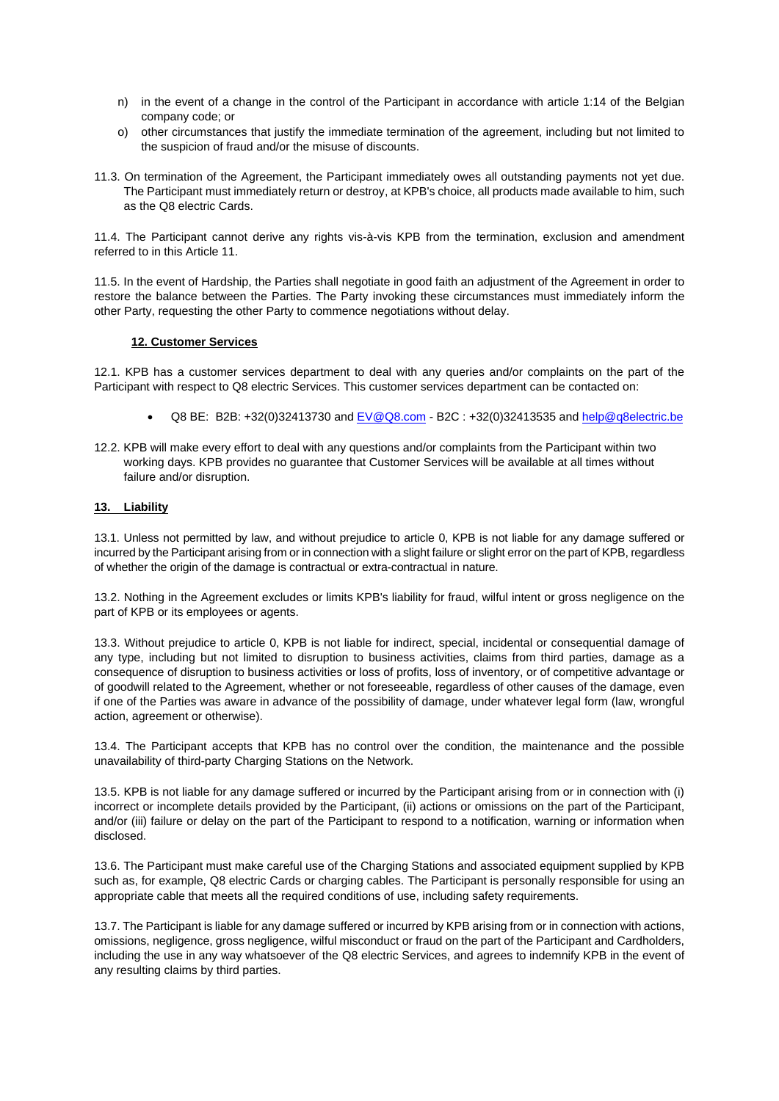- n) in the event of a change in the control of the Participant in accordance with article 1:14 of the Belgian company code; or
- o) other circumstances that justify the immediate termination of the agreement, including but not limited to the suspicion of fraud and/or the misuse of discounts.
- 11.3. On termination of the Agreement, the Participant immediately owes all outstanding payments not yet due. The Participant must immediately return or destroy, at KPB's choice, all products made available to him, such as the Q8 electric Cards.

11.4. The Participant cannot derive any rights vis-à-vis KPB from the termination, exclusion and amendment referred to in this Article 11.

11.5. In the event of Hardship, the Parties shall negotiate in good faith an adjustment of the Agreement in order to restore the balance between the Parties. The Party invoking these circumstances must immediately inform the other Party, requesting the other Party to commence negotiations without delay.

## **12. Customer Services**

12.1. KPB has a customer services department to deal with any queries and/or complaints on the part of the Participant with respect to Q8 electric Services. This customer services department can be contacted on:

- Q8 BE: B2B: +32(0)32413730 and  $EV@Q8.com$  B2C : +32(0)32413535 and [help@q8electric.be](mailto:help@q8electric.be)
- 12.2. KPB will make every effort to deal with any questions and/or complaints from the Participant within two working days. KPB provides no guarantee that Customer Services will be available at all times without failure and/or disruption.

## **13. Liability**

13.1. Unless not permitted by law, and without prejudice to article [0,](#page-10-0) KPB is not liable for any damage suffered or incurred by the Participant arising from or in connection with a slight failure or slight error on the part of KPB, regardless of whether the origin of the damage is contractual or extra-contractual in nature.

<span id="page-10-0"></span>13.2. Nothing in the Agreement excludes or limits KPB's liability for fraud, wilful intent or gross negligence on the part of KPB or its employees or agents.

13.3. Without prejudice to article [0,](#page-10-0) KPB is not liable for indirect, special, incidental or consequential damage of any type, including but not limited to disruption to business activities, claims from third parties, damage as a consequence of disruption to business activities or loss of profits, loss of inventory, or of competitive advantage or of goodwill related to the Agreement, whether or not foreseeable, regardless of other causes of the damage, even if one of the Parties was aware in advance of the possibility of damage, under whatever legal form (law, wrongful action, agreement or otherwise).

13.4. The Participant accepts that KPB has no control over the condition, the maintenance and the possible unavailability of third-party Charging Stations on the Network.

13.5. KPB is not liable for any damage suffered or incurred by the Participant arising from or in connection with (i) incorrect or incomplete details provided by the Participant, (ii) actions or omissions on the part of the Participant, and/or (iii) failure or delay on the part of the Participant to respond to a notification, warning or information when disclosed.

13.6. The Participant must make careful use of the Charging Stations and associated equipment supplied by KPB such as, for example, Q8 electric Cards or charging cables. The Participant is personally responsible for using an appropriate cable that meets all the required conditions of use, including safety requirements.

13.7. The Participant is liable for any damage suffered or incurred by KPB arising from or in connection with actions, omissions, negligence, gross negligence, wilful misconduct or fraud on the part of the Participant and Cardholders, including the use in any way whatsoever of the Q8 electric Services, and agrees to indemnify KPB in the event of any resulting claims by third parties.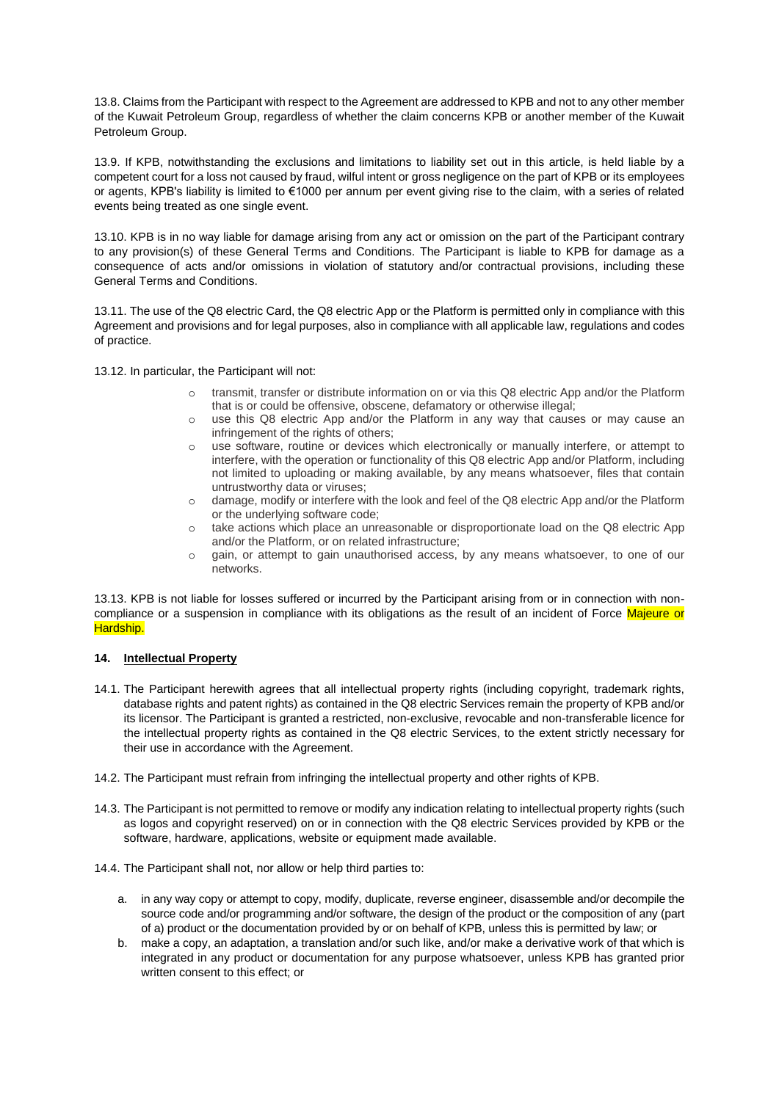13.8. Claims from the Participant with respect to the Agreement are addressed to KPB and not to any other member of the Kuwait Petroleum Group, regardless of whether the claim concerns KPB or another member of the Kuwait Petroleum Group.

13.9. If KPB, notwithstanding the exclusions and limitations to liability set out in this article, is held liable by a competent court for a loss not caused by fraud, wilful intent or gross negligence on the part of KPB or its employees or agents, KPB's liability is limited to €1000 per annum per event giving rise to the claim, with a series of related events being treated as one single event.

13.10. KPB is in no way liable for damage arising from any act or omission on the part of the Participant contrary to any provision(s) of these General Terms and Conditions. The Participant is liable to KPB for damage as a consequence of acts and/or omissions in violation of statutory and/or contractual provisions, including these General Terms and Conditions.

13.11. The use of the Q8 electric Card, the Q8 electric App or the Platform is permitted only in compliance with this Agreement and provisions and for legal purposes, also in compliance with all applicable law, regulations and codes of practice.

13.12. In particular, the Participant will not:

- o transmit, transfer or distribute information on or via this Q8 electric App and/or the Platform that is or could be offensive, obscene, defamatory or otherwise illegal;
- o use this Q8 electric App and/or the Platform in any way that causes or may cause an infringement of the rights of others;
- o use software, routine or devices which electronically or manually interfere, or attempt to interfere, with the operation or functionality of this Q8 electric App and/or Platform, including not limited to uploading or making available, by any means whatsoever, files that contain untrustworthy data or viruses;
- o damage, modify or interfere with the look and feel of the Q8 electric App and/or the Platform or the underlying software code;
- o take actions which place an unreasonable or disproportionate load on the Q8 electric App and/or the Platform, or on related infrastructure;
- o gain, or attempt to gain unauthorised access, by any means whatsoever, to one of our networks.

13.13. KPB is not liable for losses suffered or incurred by the Participant arising from or in connection with noncompliance or a suspension in compliance with its obligations as the result of an incident of Force Majeure or Hardship.

## **14. Intellectual Property**

- 14.1. The Participant herewith agrees that all intellectual property rights (including copyright, trademark rights, database rights and patent rights) as contained in the Q8 electric Services remain the property of KPB and/or its licensor. The Participant is granted a restricted, non-exclusive, revocable and non-transferable licence for the intellectual property rights as contained in the Q8 electric Services, to the extent strictly necessary for their use in accordance with the Agreement.
- 14.2. The Participant must refrain from infringing the intellectual property and other rights of KPB.
- 14.3. The Participant is not permitted to remove or modify any indication relating to intellectual property rights (such as logos and copyright reserved) on or in connection with the Q8 electric Services provided by KPB or the software, hardware, applications, website or equipment made available.
- 14.4. The Participant shall not, nor allow or help third parties to:
	- a. in any way copy or attempt to copy, modify, duplicate, reverse engineer, disassemble and/or decompile the source code and/or programming and/or software, the design of the product or the composition of any (part of a) product or the documentation provided by or on behalf of KPB, unless this is permitted by law; or
	- b. make a copy, an adaptation, a translation and/or such like, and/or make a derivative work of that which is integrated in any product or documentation for any purpose whatsoever, unless KPB has granted prior written consent to this effect; or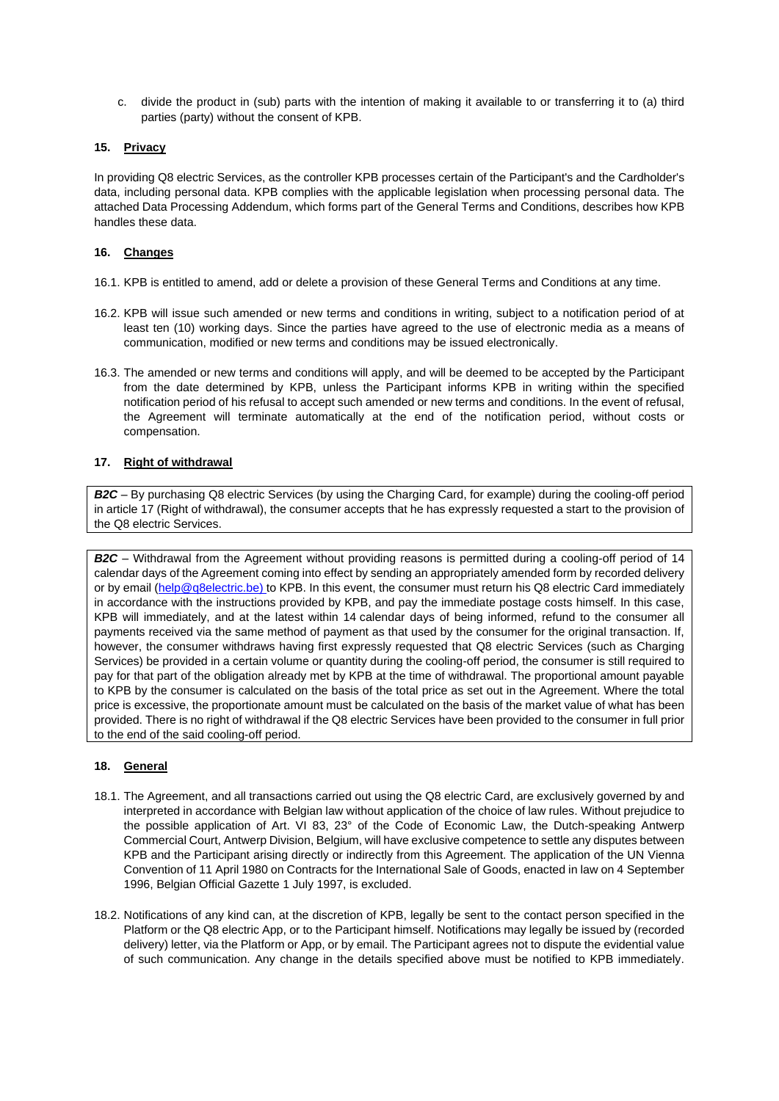c. divide the product in (sub) parts with the intention of making it available to or transferring it to (a) third parties (party) without the consent of KPB.

## <span id="page-12-0"></span>**15. Privacy**

In providing Q8 electric Services, as the controller KPB processes certain of the Participant's and the Cardholder's data, including personal data. KPB complies with the applicable legislation when processing personal data. The attached Data Processing Addendum, which forms part of the General Terms and Conditions, describes how KPB handles these data.

### <span id="page-12-2"></span>**16. Changes**

- 16.1. KPB is entitled to amend, add or delete a provision of these General Terms and Conditions at any time.
- 16.2. KPB will issue such amended or new terms and conditions in writing, subject to a notification period of at least ten (10) working days. Since the parties have agreed to the use of electronic media as a means of communication, modified or new terms and conditions may be issued electronically.
- 16.3. The amended or new terms and conditions will apply, and will be deemed to be accepted by the Participant from the date determined by KPB, unless the Participant informs KPB in writing within the specified notification period of his refusal to accept such amended or new terms and conditions. In the event of refusal, the Agreement will terminate automatically at the end of the notification period, without costs or compensation.

### **17. Right of withdrawal**

*B2C* – By purchasing Q8 electric Services (by using the Charging Card, for example) during the cooling-off period in article 17 (Right of withdrawal), the consumer accepts that he has expressly requested a start to the provision of the Q8 electric Services.

*B2C* – Withdrawal from the Agreement without providing reasons is permitted during a cooling-off period of 14 calendar days of the Agreement coming into effect by sending an appropriately amended form by recorded delivery or by email [\(help@q8electric.be\)](mailto:help@q8electric.be) to KPB. In this event, the consumer must return his Q8 electric Card immediately in accordance with the instructions provided by KPB, and pay the immediate postage costs himself. In this case, KPB will immediately, and at the latest within 14 calendar days of being informed, refund to the consumer all payments received via the same method of payment as that used by the consumer for the original transaction. If, however, the consumer withdraws having first expressly requested that Q8 electric Services (such as Charging Services) be provided in a certain volume or quantity during the cooling-off period, the consumer is still required to pay for that part of the obligation already met by KPB at the time of withdrawal. The proportional amount payable to KPB by the consumer is calculated on the basis of the total price as set out in the Agreement. Where the total price is excessive, the proportionate amount must be calculated on the basis of the market value of what has been provided. There is no right of withdrawal if the Q8 electric Services have been provided to the consumer in full prior to the end of the said cooling-off period.

## **18. General**

- 18.1. The Agreement, and all transactions carried out using the Q8 electric Card, are exclusively governed by and interpreted in accordance with Belgian law without application of the choice of law rules. Without prejudice to the possible application of Art. VI 83, 23° of the Code of Economic Law, the Dutch-speaking Antwerp Commercial Court, Antwerp Division, Belgium, will have exclusive competence to settle any disputes between KPB and the Participant arising directly or indirectly from this Agreement. The application of the UN Vienna Convention of 11 April 1980 on Contracts for the International Sale of Goods, enacted in law on 4 September 1996, Belgian Official Gazette 1 July 1997, is excluded.
- <span id="page-12-1"></span>18.2. Notifications of any kind can, at the discretion of KPB, legally be sent to the contact person specified in the Platform or the Q8 electric App, or to the Participant himself. Notifications may legally be issued by (recorded delivery) letter, via the Platform or App, or by email. The Participant agrees not to dispute the evidential value of such communication. Any change in the details specified above must be notified to KPB immediately.